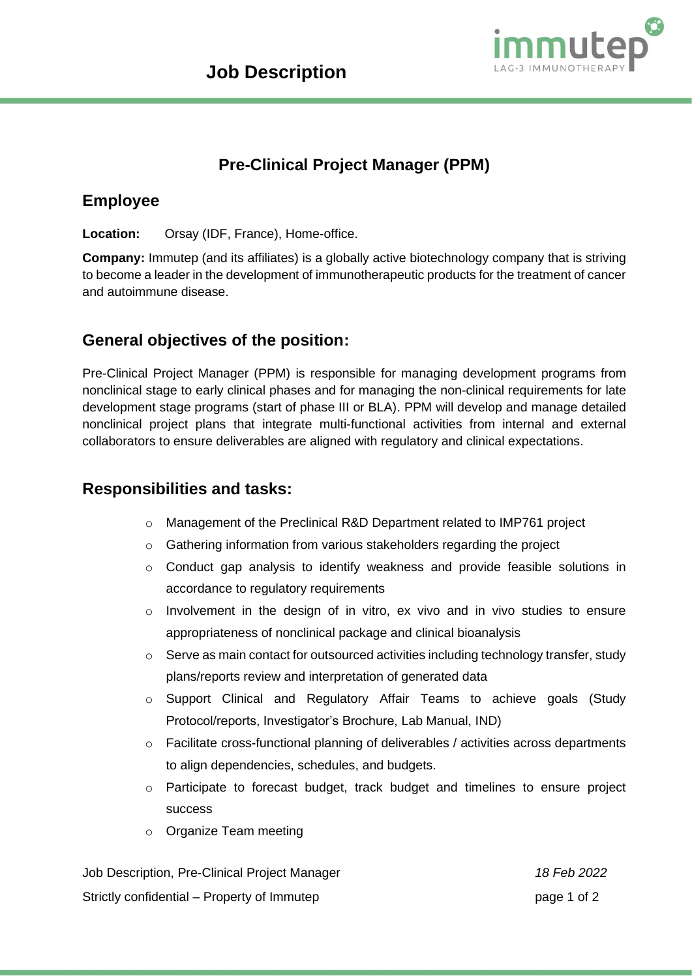

# **Pre-Clinical Project Manager (PPM)**

#### **Employee**

**Location:** Orsay (IDF, France), Home-office.

**Company:** Immutep (and its affiliates) is a globally active biotechnology company that is striving to become a leader in the development of immunotherapeutic products for the treatment of cancer and autoimmune disease.

## **General objectives of the position:**

Pre-Clinical Project Manager (PPM) is responsible for managing development programs from nonclinical stage to early clinical phases and for managing the non-clinical requirements for late development stage programs (start of phase III or BLA). PPM will develop and manage detailed nonclinical project plans that integrate multi-functional activities from internal and external collaborators to ensure deliverables are aligned with regulatory and clinical expectations.

#### **Responsibilities and tasks:**

- o Management of the Preclinical R&D Department related to IMP761 project
- o Gathering information from various stakeholders regarding the project
- $\circ$  Conduct gap analysis to identify weakness and provide feasible solutions in accordance to regulatory requirements
- o Involvement in the design of in vitro, ex vivo and in vivo studies to ensure appropriateness of nonclinical package and clinical bioanalysis
- $\circ$  Serve as main contact for outsourced activities including technology transfer, study plans/reports review and interpretation of generated data
- o Support Clinical and Regulatory Affair Teams to achieve goals (Study Protocol/reports, Investigator's Brochure, Lab Manual, IND)
- o Facilitate cross-functional planning of deliverables / activities across departments to align dependencies, schedules, and budgets.
- o Participate to forecast budget, track budget and timelines to ensure project success
- o Organize Team meeting

Job Description, Pre-Clinical Project Manager *18 Feb 2022* Strictly confidential – Property of Immutep page 1 of 2